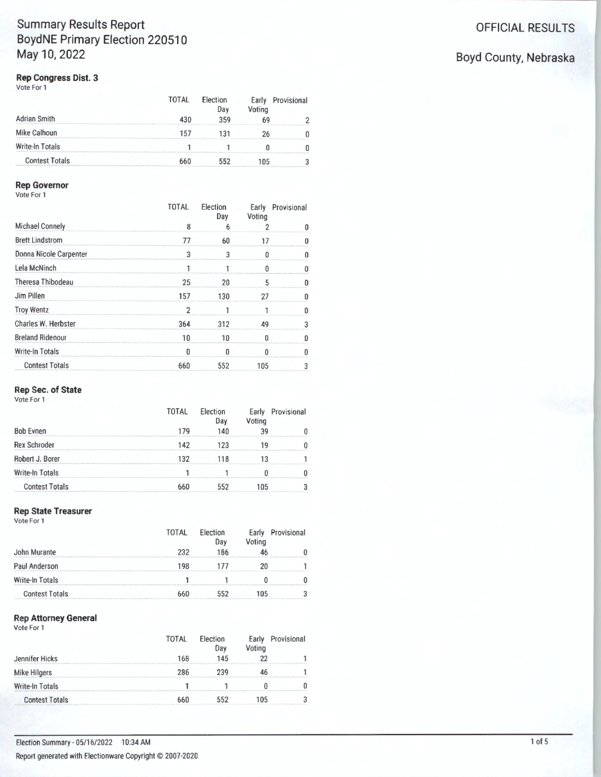# **Summary Results Report Contract Contract Contract Contract Contract Contract Contract Contract Contract Contract Contract Contract Contract Contract Contract Contract Contract Contract Contract Contract Contract Contract BoydNE Primary Election 220510 May 10, 2022** Boyd County, Nebraska

## **Rep Congress Dist. 3**

Vote For 1

|                       | TOTAL | <b>Election</b><br>Day | Early<br>Voting | Provisional |
|-----------------------|-------|------------------------|-----------------|-------------|
| Adrian Smith          |       | 359                    |                 |             |
| Mike Calhoun          | 157   | 131                    |                 |             |
| Write-In Totals       |       |                        |                 |             |
| <b>Contest Totals</b> | 660   |                        | 105             |             |

# **Rep Governor**

Vote For 1

|                         | TOTAL | Election<br>Day | Early<br>Voting | Provisional |
|-------------------------|-------|-----------------|-----------------|-------------|
| Michael Connely         | 8     |                 |                 |             |
| <b>Brett Lindstrom</b>  | 77    | 60              |                 |             |
| Donna Nicole Carpenter  | 3     |                 |                 |             |
| Lela McNinch            |       |                 |                 |             |
| Theresa Thibodeau       | 25    | 20              |                 |             |
| Jim Pillen              | 157   | 130             | 27              |             |
| <b>Troy Wentz</b>       |       |                 |                 |             |
| Charles W. Herbster     | 364   | 312             | 49              |             |
| <b>Breland Ridenour</b> | 10    | 10              |                 |             |
| <b>Write-In Totals</b>  |       |                 |                 |             |
| <b>Contest Totals</b>   | 660   | 552             | 105             |             |

# **Rep Sec. of State**

Vote For 1

|                       | TOTAL | <b>Election</b><br>Dav | Early<br>√otina | Provisional |
|-----------------------|-------|------------------------|-----------------|-------------|
| <b>Bob Evnen</b>      | 17Q   | 14N                    |                 |             |
| <b>Rex Schroder</b>   | 142   | 123                    | 10              |             |
| Robert J. Borer       | 132   | 118                    |                 |             |
| Write-In Totals       |       |                        |                 |             |
| <b>Contest Totals</b> | 660   |                        | 105             |             |

## **Rep State Treasurer**

Vote For 1

|                       | TOTAL | Election<br>Dav | Voting | Early Provisional |
|-----------------------|-------|-----------------|--------|-------------------|
| John Murante          | 232   | 186             |        |                   |
| Paul Anderson         | 198   |                 |        |                   |
| Write-In Totals       |       |                 |        |                   |
| <b>Contest Totals</b> | 660   | 552             | 105    |                   |

#### **Rep Attorney General**  Vote For 1

|                       | <b>TOTAL</b> | Election<br>Dav | Early<br>Voting | Provisional |
|-----------------------|--------------|-----------------|-----------------|-------------|
| Jennifer Hicks        | 168          | 145             |                 |             |
| <b>Mike Hilgers</b>   | 286          | 239             |                 |             |
| Write-In Totals       |              |                 |                 |             |
| <b>Contest Totals</b> | 660          | 552             | 105             |             |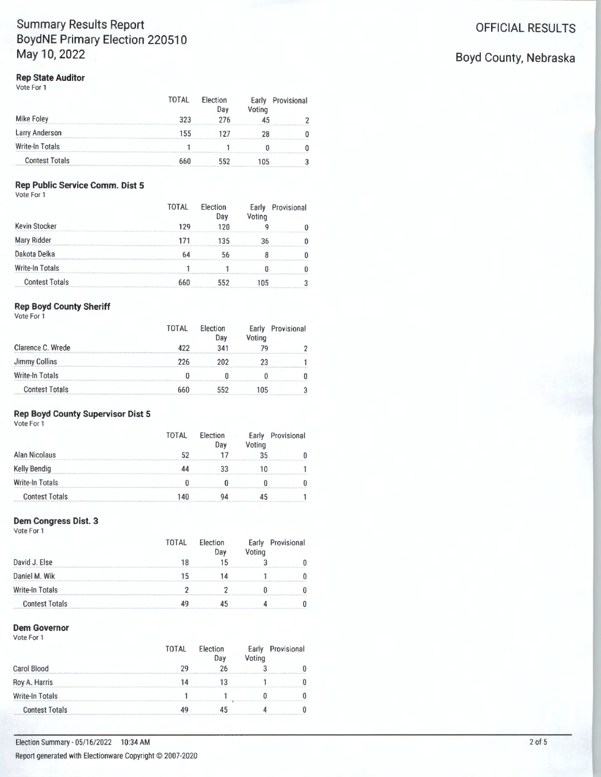# **Summary Results Report Contract Contract Contract Contract Contract Contract Contract Contract Contract Contract Contract Contract Contract Contract Contract Contract Contract Contract Contract Contract Contract Contract BoydNE Primary Election 220510** May 10, 2022 **Boyd County, Nebraska**

# **Rep State Auditor**

Vote For 1

|                       | TOTAL | Election<br>Dav | Voting | Early Provisional |
|-----------------------|-------|-----------------|--------|-------------------|
| Mike Foley            | ววว   | 276             |        |                   |
| Larry Anderson        | 155   | 127             |        |                   |
| Write-In Totals       |       |                 |        |                   |
| <b>Contest Totals</b> | 66ſ   | 552             | 105    |                   |

# **Rep Public Service Comm\_ Dist 5**

Vote For 1

|                       | <b>TOTAL</b> | Election<br>Day | Early<br>Voting | Provisional |
|-----------------------|--------------|-----------------|-----------------|-------------|
| Kevin Stocker         | 129          | 12N             |                 |             |
| Mary Ridder           | 171          | 135             | 36              |             |
| Dakota Delka          |              |                 |                 |             |
| Write-In Totals       |              |                 |                 |             |
| <b>Contest Totals</b> | 660          | 552             | 105             |             |

# **Rep Boyd County Sheriff**

Vote For 1

|                       | <b>TOTAL</b> | <b>Flection</b><br>Day | Early<br>Voting | Provisional |
|-----------------------|--------------|------------------------|-----------------|-------------|
| Clarence C. Wrede     | A')')        | 341                    |                 |             |
| Jimmy Collins         | 226          | 202                    |                 |             |
| Write-In Totals       |              |                        |                 |             |
| <b>Contest Totals</b> | 66N          | 552                    | 105             |             |

# **Rep Boyd County Supervisor Dist 5**

Vote For 1

|                       | TOTAL | <b>Election</b><br>Day | Voting | Early Provisional |
|-----------------------|-------|------------------------|--------|-------------------|
| Alan Nicolaus         |       |                        |        |                   |
| Kelly Bendig          |       |                        |        |                   |
| Write-In Totals       |       |                        |        |                   |
| <b>Contest Totals</b> | 140   | QΔ                     |        |                   |

# **Dem Congress Dist. 3**

Vote For 1

|                       | TOTAL | Election<br>Day | Early<br>Voting | Provisional |
|-----------------------|-------|-----------------|-----------------|-------------|
| David J. Else         |       |                 |                 |             |
| Daniel M. Wik         |       |                 |                 |             |
| Write-In Totals       |       |                 |                 |             |
| <b>Contest Totals</b> |       |                 |                 |             |

# **Dem Governor**

Vote For 1

|                       | TOTAL | Election<br>Day | Voting | Early Provisional |
|-----------------------|-------|-----------------|--------|-------------------|
| Carol Blood           | οq    | 26              |        |                   |
| Roy A. Harris         | 14    |                 |        |                   |
| Write-In Totals       |       |                 |        |                   |
| <b>Contest Totals</b> |       |                 |        |                   |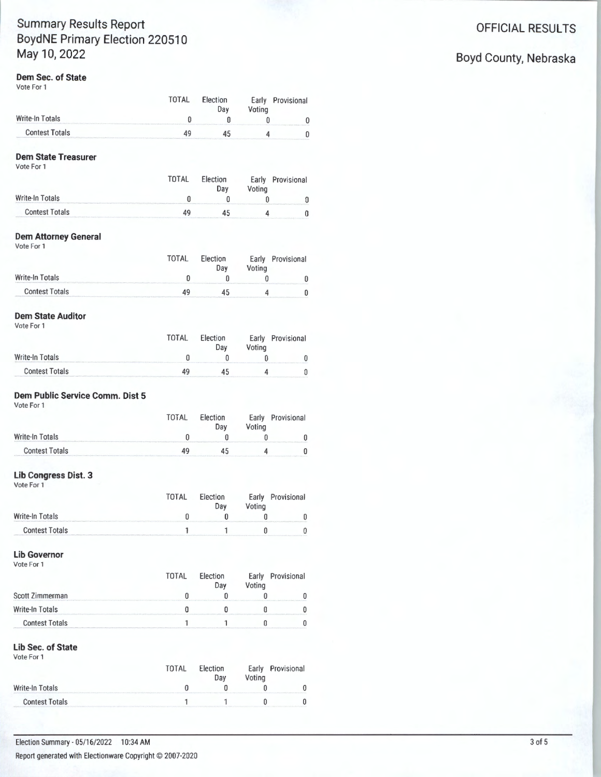# Summary Results Report **Contract Contract Contract Contract Contract Contract Contract Contract Contract Contract Contract Contract Contract Contract Contract Contract Contract Contract Contract Contract Contract Contract** Boyd NE Primary Election 220510 May 10, 2022 **Boyd County, Nebraska**

#### **Dem Sec. of State**

Vote For 1

|                       | <b>TOTAL</b> | Election<br>Day | Voting | Early Provisional |
|-----------------------|--------------|-----------------|--------|-------------------|
| Write-In Totals       |              |                 |        |                   |
| <b>Contest Totals</b> | 40           | 45              |        |                   |

### **Dem State Treasurer**

Vote For 1

|                       | <b>TOTAL</b> | Election<br>Dav | Votina | Early Provisional |
|-----------------------|--------------|-----------------|--------|-------------------|
| Write-In Totals       |              |                 |        |                   |
| <b>Contest Totals</b> |              |                 |        |                   |

### **Dem Attorney General**

Vote For 1

|                       | TOTAL | <b>Election</b><br>Day | Votina | Early Provisional |
|-----------------------|-------|------------------------|--------|-------------------|
| Write-In Totals       |       |                        |        |                   |
| <b>Contest Totals</b> |       |                        |        |                   |

### **Dem State Auditor**

Vote For 1

|                       | <b>TOTAL</b> | Election<br>Dav | Voting | Early Provisional |
|-----------------------|--------------|-----------------|--------|-------------------|
| Write-In Totals       |              |                 |        |                   |
| <b>Contest Totals</b> |              |                 |        |                   |

# **Dem Public Service Comm. Dist 5**

Vote For 1

|                       | <b>TOTAL</b> | <b>Election</b><br>Dav | Votina | Early Provisional                                     |
|-----------------------|--------------|------------------------|--------|-------------------------------------------------------|
| Write-In Totals       |              |                        |        |                                                       |
| <b>Contest Totals</b> |              |                        |        | <b>ROBERT EXISTENTIAL EXISTING EXISTANCIAL VALUES</b> |

### **Lib Congress Dist. 3**

Vote For 1

|                       | TNTAI | <b>Election</b><br>Dav | Early<br>''oting | Provisional |
|-----------------------|-------|------------------------|------------------|-------------|
| Write-In Totals       |       |                        |                  |             |
| <b>Contest Totals</b> |       |                        |                  |             |

#### **Lib Governor**  Vote For 1

|                                                                                                                                      | TOTAL | Election<br>Day | Voting | Early Provisional |
|--------------------------------------------------------------------------------------------------------------------------------------|-------|-----------------|--------|-------------------|
| Scott Zimmerman                                                                                                                      |       |                 |        |                   |
| Write-In Totals<br>and a second control of the control of the control of the control of the control of the control of the control of |       |                 |        |                   |
| <b>Contest Totals</b>                                                                                                                |       |                 |        |                   |

#### **Lib Sec. of State**

Vote For 1

|                       | TOTAL | <b>Flection</b><br>Day | Votina | Early Provisional |
|-----------------------|-------|------------------------|--------|-------------------|
| Write-In Totals       |       |                        |        |                   |
| <b>Contest Totals</b> |       |                        |        |                   |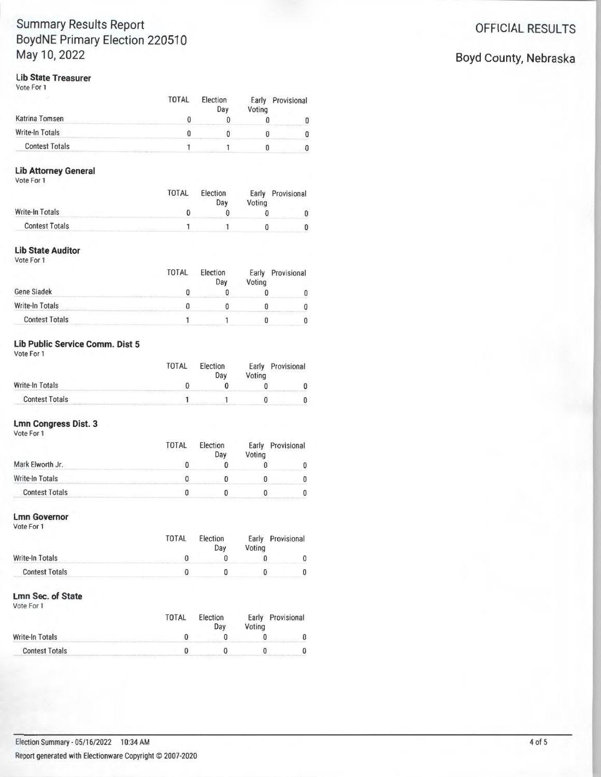# **Summary Results Report Contract Contract Contract Contract Contract Contract Contract Contract Contract Contract Contract Contract Contract Contract Contract Contract Contract Contract Contract Contract Contract Contract BoydNE Primary Election 220510** May 10, 2022 **Boyd County, Nebraska**

# **Lib State Treasurer**

Vote For 1

|                       | TOTAL | <b>Election</b><br>Day | Voting | Early Provisional |
|-----------------------|-------|------------------------|--------|-------------------|
| Katrina Tomsen        |       |                        |        |                   |
| Write-In Totals       |       |                        |        |                   |
| <b>Contest Totals</b> |       |                        |        |                   |

# **Lib Attorney General**

Vote For 1

|                       | <b>TOTAL</b> | Election<br>Dav | Voting | Early Provisional |
|-----------------------|--------------|-----------------|--------|-------------------|
| Write-In Totals       |              |                 |        |                   |
| <b>Contest Totals</b> |              |                 |        |                   |

# **Lib State Auditor**

Vote For 1

|                       | <b>TOTAL</b> | Election<br>Day | Voting | Early Provisional |
|-----------------------|--------------|-----------------|--------|-------------------|
| Gene Siadek           |              |                 |        |                   |
| Write-In Totals       |              |                 |        |                   |
| <b>Contest Totals</b> |              |                 |        |                   |

# **Lib Public Service Comm. Dist 5**

Vote For 1

|                       | <b>TOTAL</b> | <b>Election</b><br>Dav | Votina | Early Provisional |
|-----------------------|--------------|------------------------|--------|-------------------|
| Write-In Totals       |              |                        |        |                   |
| <b>Contest Totals</b> |              |                        |        |                   |

#### **Lmn Congress Dist. 3**

| Vote For 1            | TOTAL | Election<br>Day | Voting | Early Provisional |
|-----------------------|-------|-----------------|--------|-------------------|
| Mark Elworth Jr.      |       |                 |        |                   |
| Write-In Totals       |       |                 |        |                   |
| <b>Contest Totals</b> |       |                 |        |                   |

#### **Lmn Governor**

Vote For 1

|                       | <b>TOTAL</b> | <b>Election</b><br>Day                                | Voting | Early Provisional          |
|-----------------------|--------------|-------------------------------------------------------|--------|----------------------------|
| Write-In Totals       |              | <b>CONTRACTOR CONTRACTOR INTERNATIONAL CONTRACTOR</b> |        | Colorado de Santo Colorado |
| <b>Contest Totals</b> |              |                                                       |        |                            |

### **Lmn Sec. of State**

Vote For 1

|                       | TOTAI | <b>Election</b><br>Dav | Early<br>Voting | Provisional |
|-----------------------|-------|------------------------|-----------------|-------------|
| Write-In Totals       |       |                        |                 |             |
| <b>Contest Totals</b> |       |                        |                 |             |